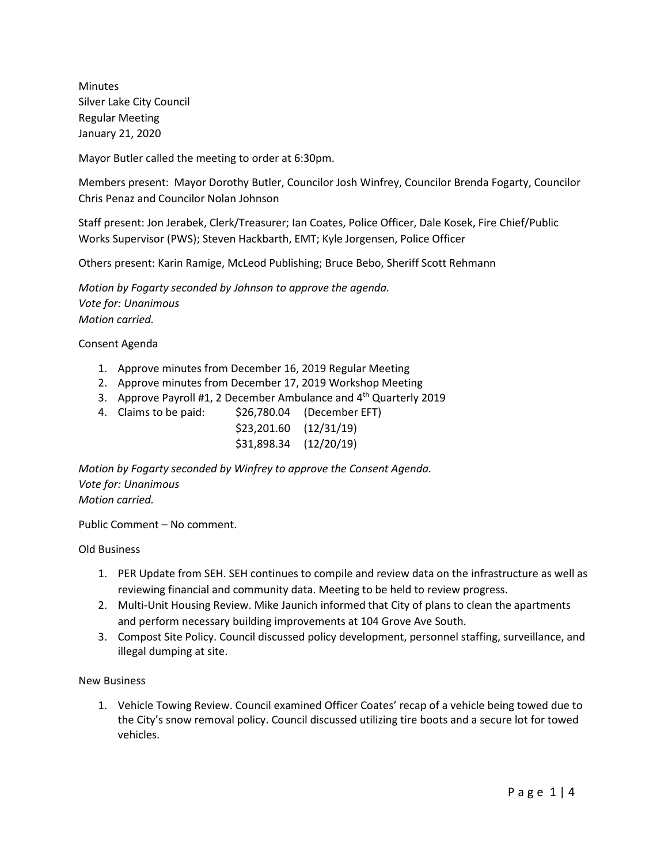Minutes Silver Lake City Council Regular Meeting January 21, 2020

Mayor Butler called the meeting to order at 6:30pm.

Members present: Mayor Dorothy Butler, Councilor Josh Winfrey, Councilor Brenda Fogarty, Councilor Chris Penaz and Councilor Nolan Johnson

Staff present: Jon Jerabek, Clerk/Treasurer; Ian Coates, Police Officer, Dale Kosek, Fire Chief/Public Works Supervisor (PWS); Steven Hackbarth, EMT; Kyle Jorgensen, Police Officer

Others present: Karin Ramige, McLeod Publishing; Bruce Bebo, Sheriff Scott Rehmann

*Motion by Fogarty seconded by Johnson to approve the agenda. Vote for: Unanimous Motion carried.*

Consent Agenda

- 1. Approve minutes from December 16, 2019 Regular Meeting
- 2. Approve minutes from December 17, 2019 Workshop Meeting
- 3. Approve Payroll #1, 2 December Ambulance and  $4<sup>th</sup>$  Quarterly 2019
- 4. Claims to be paid: \$26,780.04 (December EFT)
	- \$23,201.60 (12/31/19) \$31,898.34 (12/20/19)

*Motion by Fogarty seconded by Winfrey to approve the Consent Agenda. Vote for: Unanimous Motion carried.*

Public Comment – No comment.

Old Business

- 1. PER Update from SEH. SEH continues to compile and review data on the infrastructure as well as reviewing financial and community data. Meeting to be held to review progress.
- 2. Multi-Unit Housing Review. Mike Jaunich informed that City of plans to clean the apartments and perform necessary building improvements at 104 Grove Ave South.
- 3. Compost Site Policy. Council discussed policy development, personnel staffing, surveillance, and illegal dumping at site.

#### New Business

1. Vehicle Towing Review. Council examined Officer Coates' recap of a vehicle being towed due to the City's snow removal policy. Council discussed utilizing tire boots and a secure lot for towed vehicles.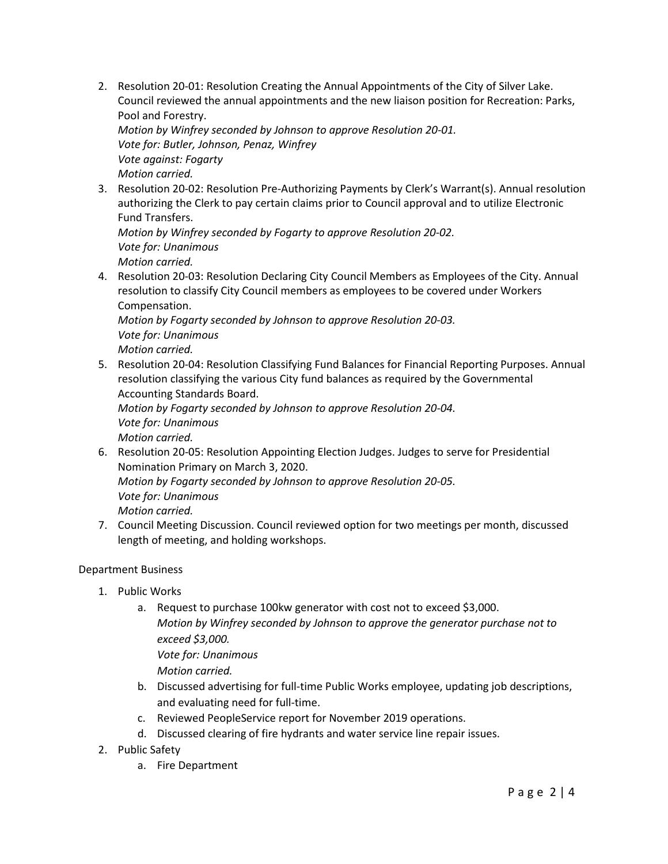2. Resolution 20-01: Resolution Creating the Annual Appointments of the City of Silver Lake. Council reviewed the annual appointments and the new liaison position for Recreation: Parks, Pool and Forestry.

*Motion by Winfrey seconded by Johnson to approve Resolution 20-01. Vote for: Butler, Johnson, Penaz, Winfrey Vote against: Fogarty Motion carried.*

3. Resolution 20-02: Resolution Pre-Authorizing Payments by Clerk's Warrant(s). Annual resolution authorizing the Clerk to pay certain claims prior to Council approval and to utilize Electronic Fund Transfers.

*Motion by Winfrey seconded by Fogarty to approve Resolution 20-02. Vote for: Unanimous Motion carried.*

4. Resolution 20-03: Resolution Declaring City Council Members as Employees of the City. Annual resolution to classify City Council members as employees to be covered under Workers Compensation.

*Motion by Fogarty seconded by Johnson to approve Resolution 20-03. Vote for: Unanimous*

*Motion carried.*

5. Resolution 20-04: Resolution Classifying Fund Balances for Financial Reporting Purposes. Annual resolution classifying the various City fund balances as required by the Governmental Accounting Standards Board.

*Motion by Fogarty seconded by Johnson to approve Resolution 20-04. Vote for: Unanimous Motion carried.*

- 6. Resolution 20-05: Resolution Appointing Election Judges. Judges to serve for Presidential Nomination Primary on March 3, 2020. *Motion by Fogarty seconded by Johnson to approve Resolution 20-05. Vote for: Unanimous Motion carried.*
- 7. Council Meeting Discussion. Council reviewed option for two meetings per month, discussed length of meeting, and holding workshops.

# Department Business

- 1. Public Works
	- a. Request to purchase 100kw generator with cost not to exceed \$3,000. *Motion by Winfrey seconded by Johnson to approve the generator purchase not to exceed \$3,000. Vote for: Unanimous Motion carried.*
	- b. Discussed advertising for full-time Public Works employee, updating job descriptions, and evaluating need for full-time.
	- c. Reviewed PeopleService report for November 2019 operations.
	- d. Discussed clearing of fire hydrants and water service line repair issues.
- 2. Public Safety
	- a. Fire Department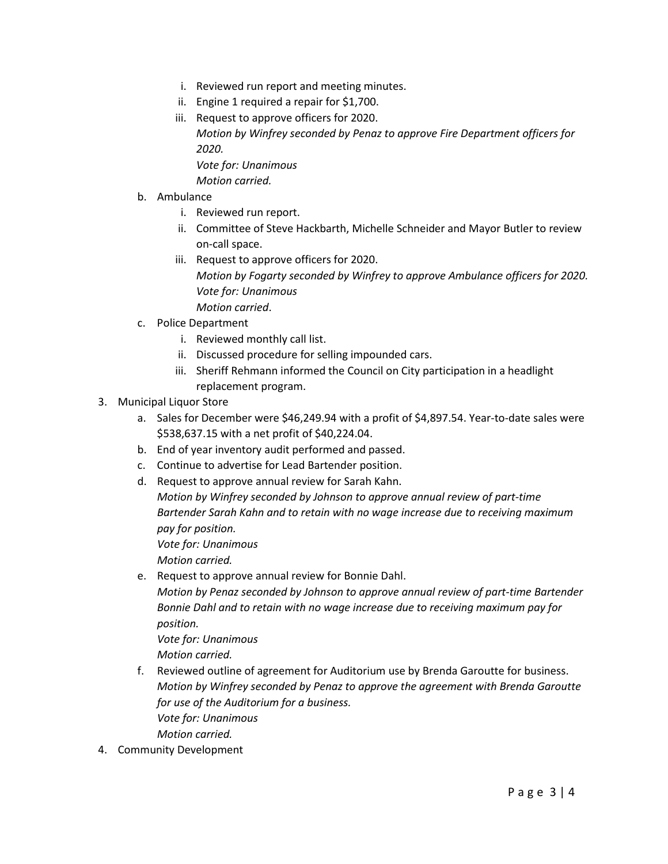- i. Reviewed run report and meeting minutes.
- ii. Engine 1 required a repair for \$1,700.
- iii. Request to approve officers for 2020. *Motion by Winfrey seconded by Penaz to approve Fire Department officers for 2020.*

*Vote for: Unanimous Motion carried.*

- b. Ambulance
	- i. Reviewed run report.
	- ii. Committee of Steve Hackbarth, Michelle Schneider and Mayor Butler to review on-call space.
	- iii. Request to approve officers for 2020. *Motion by Fogarty seconded by Winfrey to approve Ambulance officers for 2020. Vote for: Unanimous Motion carried*.
- c. Police Department
	- i. Reviewed monthly call list.
	- ii. Discussed procedure for selling impounded cars.
	- iii. Sheriff Rehmann informed the Council on City participation in a headlight replacement program.
- 3. Municipal Liquor Store
	- a. Sales for December were \$46,249.94 with a profit of \$4,897.54. Year-to-date sales were \$538,637.15 with a net profit of \$40,224.04.
	- b. End of year inventory audit performed and passed.
	- c. Continue to advertise for Lead Bartender position.
	- d. Request to approve annual review for Sarah Kahn. *Motion by Winfrey seconded by Johnson to approve annual review of part-time Bartender Sarah Kahn and to retain with no wage increase due to receiving maximum pay for position. Vote for: Unanimous Motion carried.*
	- e. Request to approve annual review for Bonnie Dahl. *Motion by Penaz seconded by Johnson to approve annual review of part-time Bartender Bonnie Dahl and to retain with no wage increase due to receiving maximum pay for position. Vote for: Unanimous*

*Motion carried.*

- f. Reviewed outline of agreement for Auditorium use by Brenda Garoutte for business. *Motion by Winfrey seconded by Penaz to approve the agreement with Brenda Garoutte for use of the Auditorium for a business. Vote for: Unanimous Motion carried.*
- 4. Community Development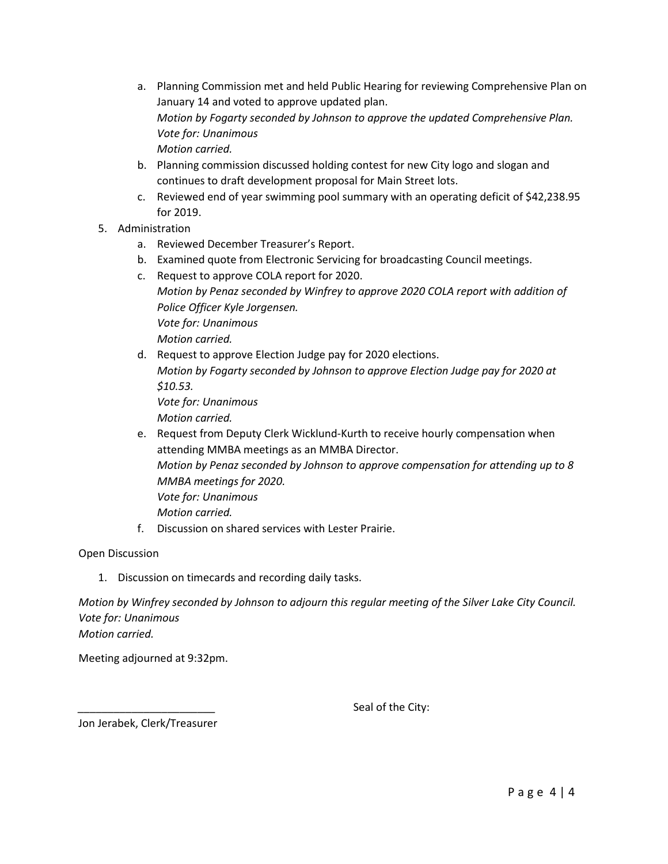- a. Planning Commission met and held Public Hearing for reviewing Comprehensive Plan on January 14 and voted to approve updated plan. *Motion by Fogarty seconded by Johnson to approve the updated Comprehensive Plan. Vote for: Unanimous Motion carried.*
- b. Planning commission discussed holding contest for new City logo and slogan and continues to draft development proposal for Main Street lots.
- c. Reviewed end of year swimming pool summary with an operating deficit of \$42,238.95 for 2019.
- 5. Administration
	- a. Reviewed December Treasurer's Report.
	- b. Examined quote from Electronic Servicing for broadcasting Council meetings.
	- c. Request to approve COLA report for 2020. *Motion by Penaz seconded by Winfrey to approve 2020 COLA report with addition of Police Officer Kyle Jorgensen. Vote for: Unanimous Motion carried.*
	- d. Request to approve Election Judge pay for 2020 elections. *Motion by Fogarty seconded by Johnson to approve Election Judge pay for 2020 at \$10.53. Vote for: Unanimous*

*Motion carried.*

e. Request from Deputy Clerk Wicklund-Kurth to receive hourly compensation when attending MMBA meetings as an MMBA Director. *Motion by Penaz seconded by Johnson to approve compensation for attending up to 8* 

*MMBA meetings for 2020. Vote for: Unanimous*

- *Motion carried.*
- f. Discussion on shared services with Lester Prairie.

Open Discussion

1. Discussion on timecards and recording daily tasks.

*Motion by Winfrey seconded by Johnson to adjourn this regular meeting of the Silver Lake City Council. Vote for: Unanimous Motion carried.*

Meeting adjourned at 9:32pm.

Seal of the City:

Jon Jerabek, Clerk/Treasurer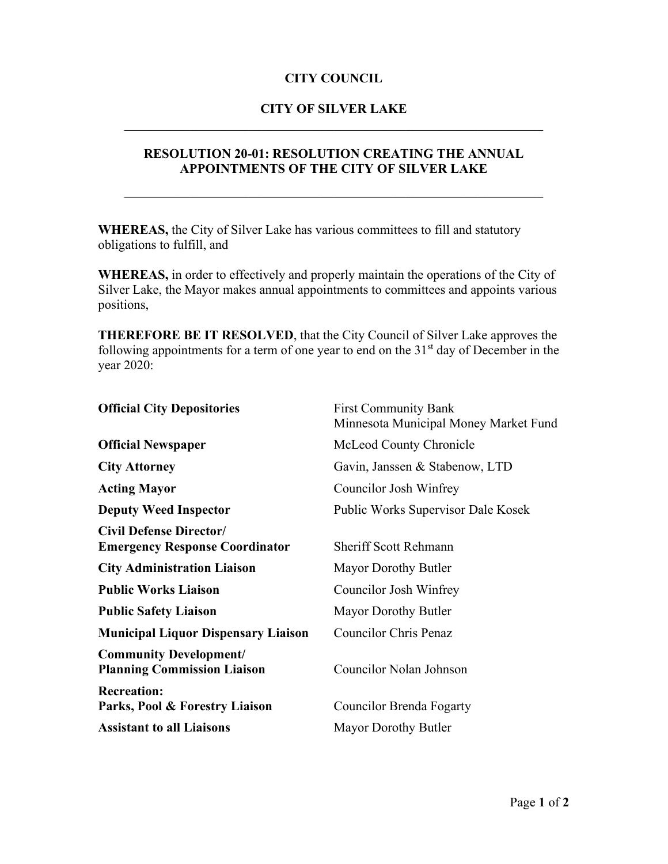# **CITY OF SILVER LAKE** \_\_\_\_\_\_\_\_\_\_\_\_\_\_\_\_\_\_\_\_\_\_\_\_\_\_\_\_\_\_\_\_\_\_\_\_\_\_\_\_\_\_\_\_\_\_\_\_\_\_\_\_\_\_\_\_\_\_\_\_\_\_\_\_

### **RESOLUTION 20-01: RESOLUTION CREATING THE ANNUAL APPOINTMENTS OF THE CITY OF SILVER LAKE**

\_\_\_\_\_\_\_\_\_\_\_\_\_\_\_\_\_\_\_\_\_\_\_\_\_\_\_\_\_\_\_\_\_\_\_\_\_\_\_\_\_\_\_\_\_\_\_\_\_\_\_\_\_\_\_\_\_\_\_\_\_\_\_\_

**WHEREAS,** the City of Silver Lake has various committees to fill and statutory obligations to fulfill, and

**WHEREAS,** in order to effectively and properly maintain the operations of the City of Silver Lake, the Mayor makes annual appointments to committees and appoints various positions,

**THEREFORE BE IT RESOLVED**, that the City Council of Silver Lake approves the following appointments for a term of one year to end on the  $31<sup>st</sup>$  day of December in the year 2020:

| <b>Official City Depositories</b>                                       | <b>First Community Bank</b><br>Minnesota Municipal Money Market Fund |  |
|-------------------------------------------------------------------------|----------------------------------------------------------------------|--|
| <b>Official Newspaper</b>                                               | McLeod County Chronicle                                              |  |
| <b>City Attorney</b>                                                    | Gavin, Janssen & Stabenow, LTD                                       |  |
| <b>Acting Mayor</b>                                                     | Councilor Josh Winfrey                                               |  |
| <b>Deputy Weed Inspector</b>                                            | Public Works Supervisor Dale Kosek                                   |  |
| <b>Civil Defense Director/</b><br><b>Emergency Response Coordinator</b> | <b>Sheriff Scott Rehmann</b>                                         |  |
| <b>City Administration Liaison</b>                                      | Mayor Dorothy Butler                                                 |  |
| <b>Public Works Liaison</b>                                             | Councilor Josh Winfrey                                               |  |
| <b>Public Safety Liaison</b>                                            | Mayor Dorothy Butler                                                 |  |
| <b>Municipal Liquor Dispensary Liaison</b>                              | <b>Councilor Chris Penaz</b>                                         |  |
| <b>Community Development/</b><br><b>Planning Commission Liaison</b>     | Councilor Nolan Johnson                                              |  |
| <b>Recreation:</b><br>Parks, Pool & Forestry Liaison                    | Councilor Brenda Fogarty                                             |  |
| <b>Assistant to all Liaisons</b>                                        | Mayor Dorothy Butler                                                 |  |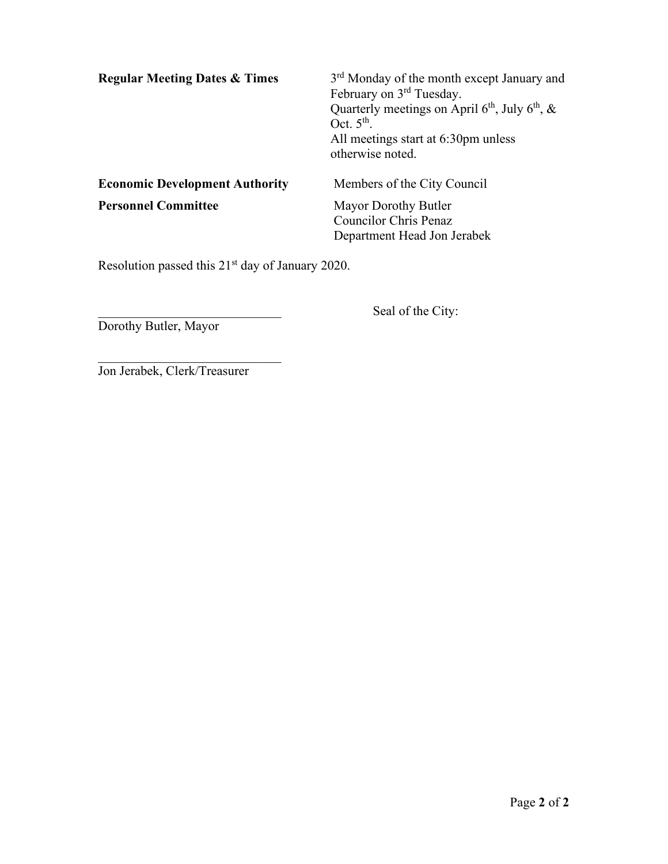| <b>Regular Meeting Dates &amp; Times</b> | 3 <sup>rd</sup> Monday of the month except January and<br>February on 3 <sup>rd</sup> Tuesday.<br>Quarterly meetings on April $6th$ , July $6th$ , &<br>Oct. $5th$ .<br>All meetings start at 6:30pm unless<br>otherwise noted. |
|------------------------------------------|---------------------------------------------------------------------------------------------------------------------------------------------------------------------------------------------------------------------------------|
| <b>Economic Development Authority</b>    | Members of the City Council                                                                                                                                                                                                     |
| <b>Personnel Committee</b>               | Mayor Dorothy Butler<br><b>Councilor Chris Penaz</b><br>Department Head Jon Jerabek                                                                                                                                             |

Resolution passed this 21<sup>st</sup> day of January 2020.

Seal of the City:

Dorothy Butler, Mayor

Jon Jerabek, Clerk/Treasurer

 $\overline{\phantom{a}}$  , and the set of the set of the set of the set of the set of the set of the set of the set of the set of the set of the set of the set of the set of the set of the set of the set of the set of the set of the s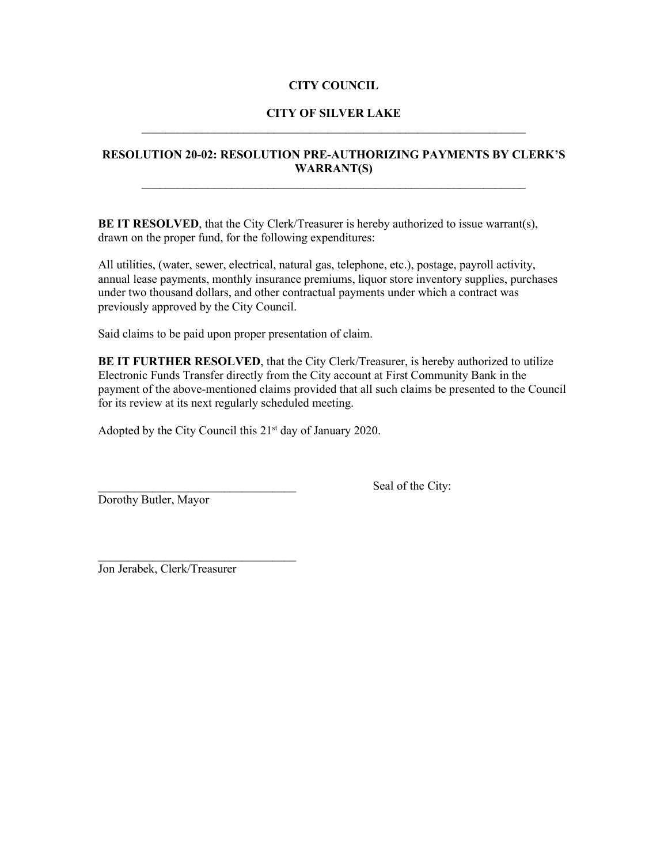#### **CITY OF SILVER LAKE** \_\_\_\_\_\_\_\_\_\_\_\_\_\_\_\_\_\_\_\_\_\_\_\_\_\_\_\_\_\_\_\_\_\_\_\_\_\_\_\_\_\_\_\_\_\_\_\_\_\_\_\_\_\_\_\_\_\_\_\_\_\_\_\_

### **RESOLUTION 20-02: RESOLUTION PRE-AUTHORIZING PAYMENTS BY CLERK'S WARRANT(S)**

\_\_\_\_\_\_\_\_\_\_\_\_\_\_\_\_\_\_\_\_\_\_\_\_\_\_\_\_\_\_\_\_\_\_\_\_\_\_\_\_\_\_\_\_\_\_\_\_\_\_\_\_\_\_\_\_\_\_\_\_\_\_\_\_

**BE IT RESOLVED**, that the City Clerk/Treasurer is hereby authorized to issue warrant(s), drawn on the proper fund, for the following expenditures:

All utilities, (water, sewer, electrical, natural gas, telephone, etc.), postage, payroll activity, annual lease payments, monthly insurance premiums, liquor store inventory supplies, purchases under two thousand dollars, and other contractual payments under which a contract was previously approved by the City Council.

Said claims to be paid upon proper presentation of claim.

**BE IT FURTHER RESOLVED**, that the City Clerk/Treasurer, is hereby authorized to utilize Electronic Funds Transfer directly from the City account at First Community Bank in the payment of the above-mentioned claims provided that all such claims be presented to the Council for its review at its next regularly scheduled meeting.

Adopted by the City Council this 21<sup>st</sup> day of January 2020.

Dorothy Butler, Mayor

Seal of the City:

Jon Jerabek, Clerk/Treasurer

 $\mathcal{L}_\text{max}$  , where  $\mathcal{L}_\text{max}$  , we are the set of the set of the set of the set of the set of the set of the set of the set of the set of the set of the set of the set of the set of the set of the set of the set of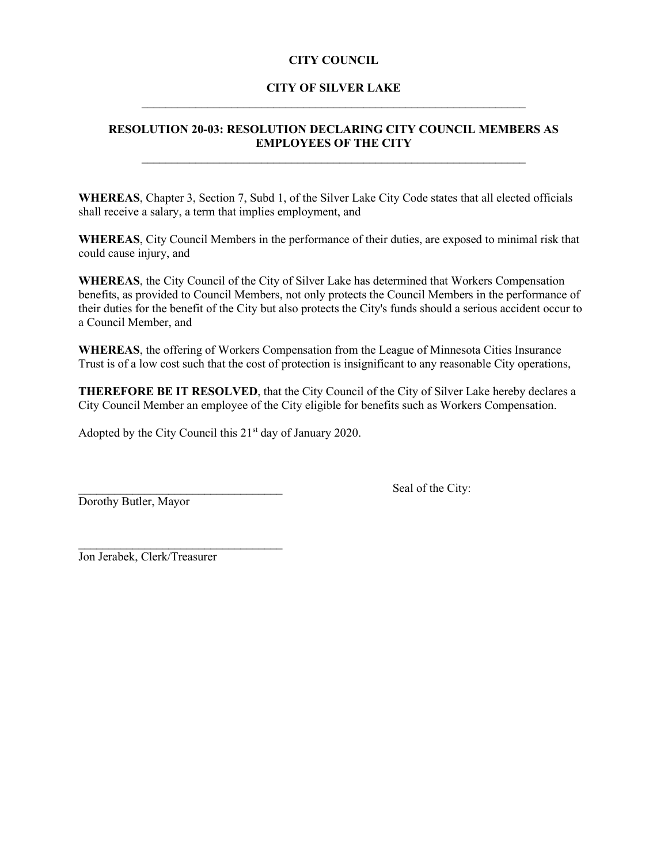### **CITY OF SILVER LAKE**  $\mathcal{L}_\mathcal{L}$  , and the contribution of the contribution of the contribution of the contribution of the contribution of the contribution of the contribution of the contribution of the contribution of the contribution of

#### **RESOLUTION 20-03: RESOLUTION DECLARING CITY COUNCIL MEMBERS AS EMPLOYEES OF THE CITY**  $\mathcal{L}_\text{max}$  , and the contribution of the contribution of the contribution of the contribution of the contribution of the contribution of the contribution of the contribution of the contribution of the contribution of t

**WHEREAS**, Chapter 3, Section 7, Subd 1, of the Silver Lake City Code states that all elected officials shall receive a salary, a term that implies employment, and

**WHEREAS**, City Council Members in the performance of their duties, are exposed to minimal risk that could cause injury, and

**WHEREAS**, the City Council of the City of Silver Lake has determined that Workers Compensation benefits, as provided to Council Members, not only protects the Council Members in the performance of their duties for the benefit of the City but also protects the City's funds should a serious accident occur to a Council Member, and

**WHEREAS**, the offering of Workers Compensation from the League of Minnesota Cities Insurance Trust is of a low cost such that the cost of protection is insignificant to any reasonable City operations,

**THEREFORE BE IT RESOLVED**, that the City Council of the City of Silver Lake hereby declares a City Council Member an employee of the City eligible for benefits such as Workers Compensation.

Adopted by the City Council this 21<sup>st</sup> day of January 2020.

Dorothy Butler, Mayor

Seal of the City:

 $\mathcal{L}_\text{max}$  , where  $\mathcal{L}_\text{max}$  is the set of the set of the set of the set of the set of the set of the set of the set of the set of the set of the set of the set of the set of the set of the set of the set of the se Jon Jerabek, Clerk/Treasurer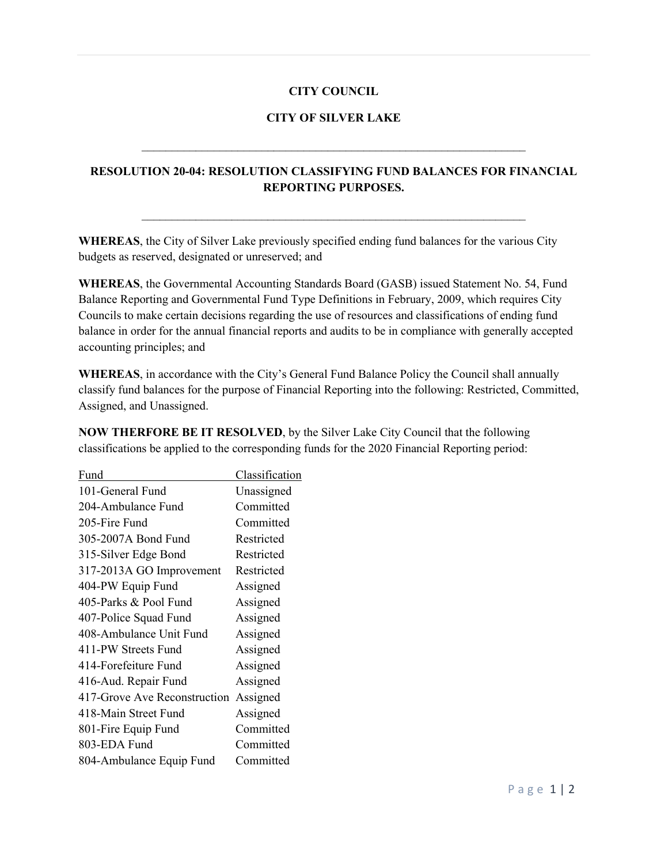#### **CITY OF SILVER LAKE**

 $\mathcal{L}_\mathcal{L}$  , and the contribution of the contribution of the contribution of the contribution of the contribution of the contribution of the contribution of the contribution of the contribution of the contribution of

### **RESOLUTION 20-04: RESOLUTION CLASSIFYING FUND BALANCES FOR FINANCIAL REPORTING PURPOSES.**

\_\_\_\_\_\_\_\_\_\_\_\_\_\_\_\_\_\_\_\_\_\_\_\_\_\_\_\_\_\_\_\_\_\_\_\_\_\_\_\_\_\_\_\_\_\_\_\_\_\_\_\_\_\_\_\_\_\_\_\_\_\_\_\_

**WHEREAS**, the City of Silver Lake previously specified ending fund balances for the various City budgets as reserved, designated or unreserved; and

**WHEREAS**, the Governmental Accounting Standards Board (GASB) issued Statement No. 54, Fund Balance Reporting and Governmental Fund Type Definitions in February, 2009, which requires City Councils to make certain decisions regarding the use of resources and classifications of ending fund balance in order for the annual financial reports and audits to be in compliance with generally accepted accounting principles; and

**WHEREAS**, in accordance with the City's General Fund Balance Policy the Council shall annually classify fund balances for the purpose of Financial Reporting into the following: Restricted, Committed, Assigned, and Unassigned.

**NOW THERFORE BE IT RESOLVED**, by the Silver Lake City Council that the following classifications be applied to the corresponding funds for the 2020 Financial Reporting period:

| Fund                         | Classification |
|------------------------------|----------------|
| 101-General Fund             | Unassigned     |
| 204-Ambulance Fund           | Committed      |
| 205-Fire Fund                | Committed      |
| 305-2007A Bond Fund          | Restricted     |
| 315-Silver Edge Bond         | Restricted     |
| 317-2013A GO Improvement     | Restricted     |
| 404-PW Equip Fund            | Assigned       |
| 405-Parks & Pool Fund        | Assigned       |
| 407-Police Squad Fund        | Assigned       |
| 408-Ambulance Unit Fund      | Assigned       |
| 411-PW Streets Fund          | Assigned       |
| 414-Forefeiture Fund         | Assigned       |
| 416-Aud. Repair Fund         | Assigned       |
| 417-Grove Ave Reconstruction | Assigned       |
| 418-Main Street Fund         | Assigned       |
| 801-Fire Equip Fund          | Committed      |
| 803-EDA Fund                 | Committed      |
| 804-Ambulance Equip Fund     | Committed      |
|                              |                |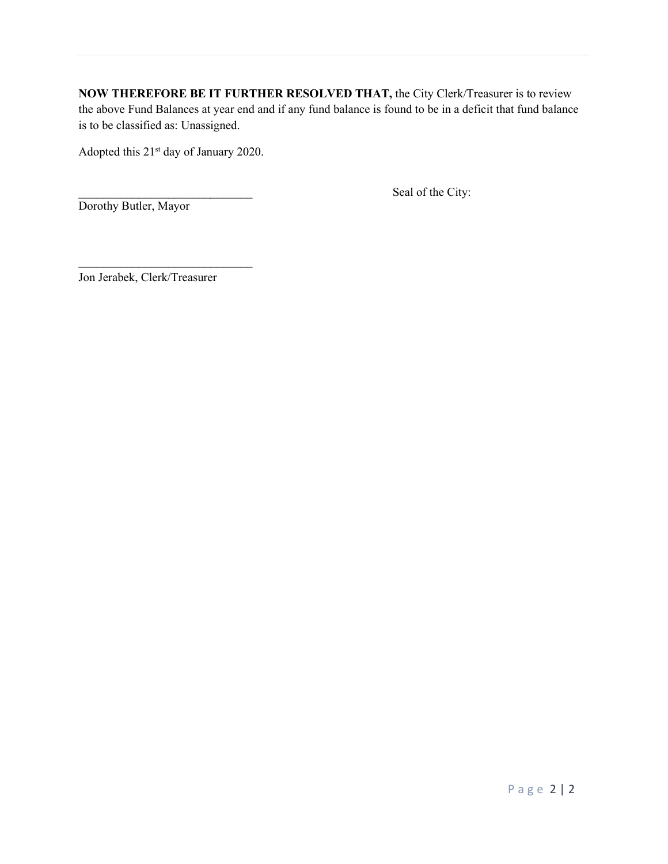**NOW THEREFORE BE IT FURTHER RESOLVED THAT,** the City Clerk/Treasurer is to review the above Fund Balances at year end and if any fund balance is found to be in a deficit that fund balance is to be classified as: Unassigned.

Adopted this 21st day of January 2020.

Seal of the City:

Dorothy Butler, Mayor

Jon Jerabek, Clerk/Treasurer

 $\mathcal{L}_\text{max}$  , where  $\mathcal{L}_\text{max}$  , we have the set of the set of the set of the set of the set of the set of the set of the set of the set of the set of the set of the set of the set of the set of the set of the set of